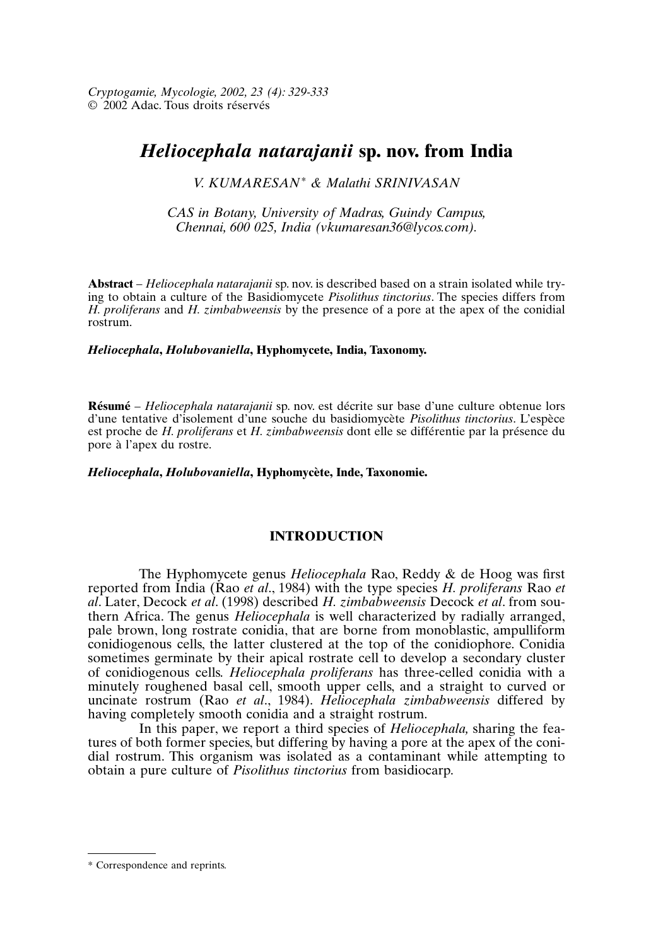# *Heliocephala natarajanii* **sp. nov. from India**

## *V. KUMARESAN\* & Malathi SRINIVASAN*

*CAS in Botany, University of Madras, Guindy Campus, Chennai, 600 025, India (vkumaresan36@lycos.com).*

**Abstract** – *Heliocephala natarajanii* sp. nov. is described based on a strain isolated while trying to obtain a culture of the Basidiomycete *Pisolithus tinctorius*. The species differs from *H. proliferans* and *H. zimbabweensis* by the presence of a pore at the apex of the conidial rostrum.

### *Heliocephala***,** *Holubovaniella***, Hyphomycete, India, Taxonomy.**

**Résumé** – *Heliocephala natarajanii* sp. nov. est décrite sur base d'une culture obtenue lors d'une tentative d'isolement d'une souche du basidiomycète *Pisolithus tinctorius*. L'espèce est proche de *H. proliferans* et *H. zimbabweensis* dont elle se différentie par la présence du pore à l'apex du rostre.

#### *Heliocephala***,** *Holubovaniella***, Hyphomycète, Inde, Taxonomie.**

## **INTRODUCTION**

The Hyphomycete genus *Heliocephala* Rao, Reddy & de Hoog was first reported from India (Rao *et al*., 1984) with the type species *H. proliferans* Rao *et al*. Later, Decock *et al*. (1998) described *H. zimbabweensis* Decock *et al*. from southern Africa. The genus *Heliocephala* is well characterized by radially arranged, pale brown, long rostrate conidia, that are borne from monoblastic, ampulliform conidiogenous cells, the latter clustered at the top of the conidiophore. Conidia sometimes germinate by their apical rostrate cell to develop a secondary cluster of conidiogenous cells. *Heliocephala proliferans* has three-celled conidia with a minutely roughened basal cell, smooth upper cells, and a straight to curved or uncinate rostrum (Rao *et al*., 1984). *Heliocephala zimbabweensis* differed by having completely smooth conidia and a straight rostrum.

In this paper, we report a third species of *Heliocephala,* sharing the features of both former species, but differing by having a pore at the apex of the conidial rostrum. This organism was isolated as a contaminant while attempting to obtain a pure culture of *Pisolithus tinctorius* from basidiocarp.

<sup>\*</sup> Correspondence and reprints.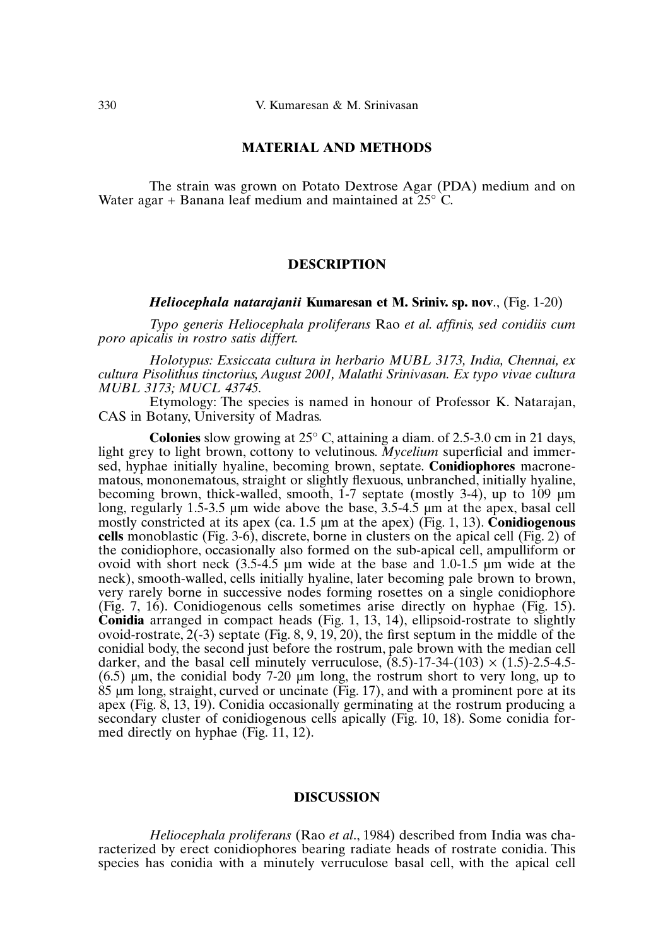#### **MATERIAL AND METHODS**

The strain was grown on Potato Dextrose Agar (PDA) medium and on Water agar + Banana leaf medium and maintained at  $25^{\circ}$  C.

#### **DESCRIPTION**

#### *Heliocephala natarajanii* **Kumaresan et M. Sriniv. sp. nov**., (Fig. 1-20)

*Typo generis Heliocephala proliferans* Rao *et al. affinis, sed conidiis cum poro apicalis in rostro satis differt.*

*Holotypus: Exsiccata cultura in herbario MUBL 3173, India, Chennai, ex cultura Pisolithus tinctorius, August 2001, Malathi Srinivasan. Ex typo vivae cultura MUBL 3173; MUCL 43745.*

Etymology: The species is named in honour of Professor K. Natarajan, CAS in Botany, University of Madras.

**Colonies** slow growing at 25° C, attaining a diam. of 2.5-3.0 cm in 21 days, light grey to light brown, cottony to velutinous. *Mycelium* superficial and immersed, hyphae initially hyaline, becoming brown, septate. **Conidiophores** macronematous, mononematous, straight or slightly flexuous, unbranched, initially hyaline, becoming brown, thick-walled, smooth, 1-7 septate (mostly 3-4), up to 109 µm long, regularly 1.5-3.5 µm wide above the base, 3.5-4.5 µm at the apex, basal cell mostly constricted at its apex (ca. 1.5 µm at the apex) (Fig. 1, 13). **Conidiogenous cells** monoblastic (Fig. 3-6), discrete, borne in clusters on the apical cell (Fig. 2) of the conidiophore, occasionally also formed on the sub-apical cell, ampulliform or ovoid with short neck (3.5-4.5 µm wide at the base and 1.0-1.5 µm wide at the neck), smooth-walled, cells initially hyaline, later becoming pale brown to brown, very rarely borne in successive nodes forming rosettes on a single conidiophore (Fig. 7, 16). Conidiogenous cells sometimes arise directly on hyphae (Fig. 15). **Conidia** arranged in compact heads (Fig. 1, 13, 14), ellipsoid-rostrate to slightly ovoid-rostrate,  $2(-3)$  septate (Fig. 8, 9, 19, 20), the first septum in the middle of the conidial body, the second just before the rostrum, pale brown with the median cell darker, and the basal cell minutely verruculose,  $(8.5)$ -17-34- $(103) \times (1.5)$ -2.5-4.5-(6.5) µm, the conidial body 7-20 µm long, the rostrum short to very long, up to 85 µm long, straight, curved or uncinate (Fig. 17), and with a prominent pore at its apex (Fig. 8, 13, 19). Conidia occasionally germinating at the rostrum producing a secondary cluster of conidiogenous cells apically (Fig. 10, 18). Some conidia formed directly on hyphae (Fig. 11, 12).

#### **DISCUSSION**

*Heliocephala proliferans* (Rao *et al*., 1984) described from India was characterized by erect conidiophores bearing radiate heads of rostrate conidia. This species has conidia with a minutely verruculose basal cell, with the apical cell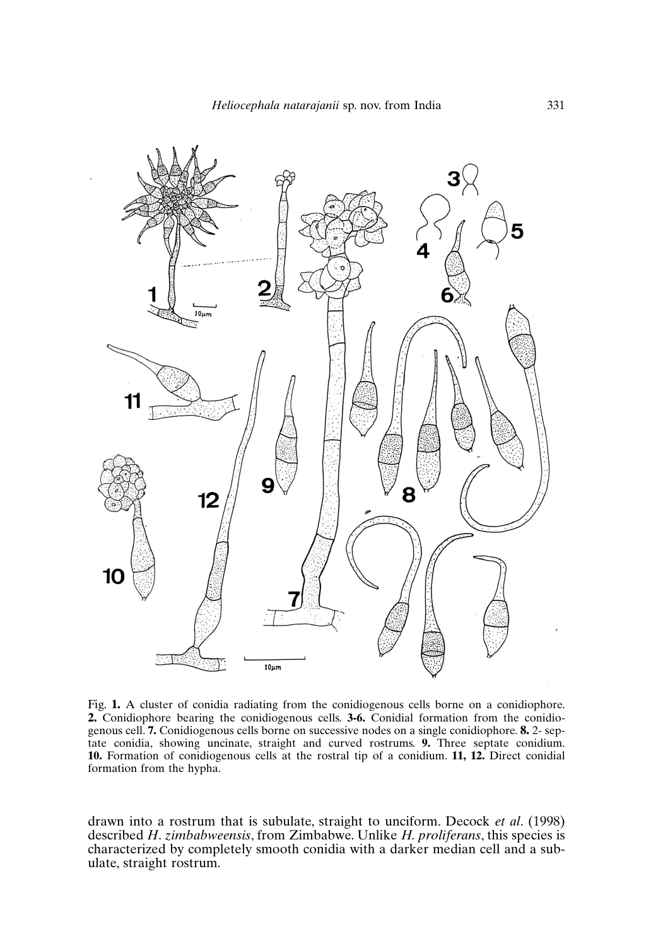

Fig. **1.** A cluster of conidia radiating from the conidiogenous cells borne on a conidiophore. **2.** Conidiophore bearing the conidiogenous cells. **3-6.** Conidial formation from the conidiogenous cell. **7.** Conidiogenous cells borne on successive nodes on a single conidiophore. **8.** 2- septate conidia, showing uncinate, straight and curved rostrums. **9.** Three septate conidium. **10.** Formation of conidiogenous cells at the rostral tip of a conidium. **11, 12.** Direct conidial formation from the hypha.

drawn into a rostrum that is subulate, straight to unciform. Decock *et al*. (1998) described *H*. *zimbabweensis*, from Zimbabwe. Unlike *H. proliferans*, this species is characterized by completely smooth conidia with a darker median cell and a subulate, straight rostrum.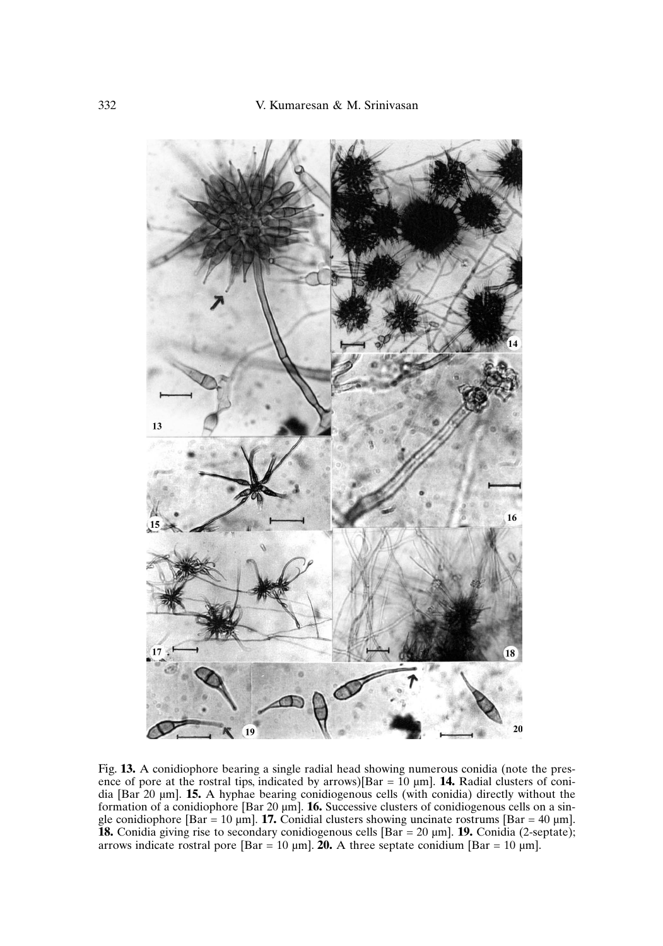

Fig. **13.** A conidiophore bearing a single radial head showing numerous conidia (note the presence of pore at the rostral tips, indicated by arrows)[Bar =  $10 \mu m$ ]. **14.** Radial clusters of conidia [Bar 20 µm]. **15.** A hyphae bearing conidiogenous cells (with conidia) directly without the formation of a conidiophore [Bar 20 µm]. **16.** Successive clusters of conidiogenous cells on a single conidiophore [Bar = 10  $\mu$ m]. **17.** Conidial clusters showing uncinate rostrums [Bar = 40  $\mu$ m]. **18.** Conidia giving rise to secondary conidiogenous cells [Bar = 20 µm]. **19.** Conidia (2-septate); arrows indicate rostral pore  $\lceil \text{Bar} = 10 \,\mu\text{m} \rceil$ . **20.** A three septate conidium  $\lceil \text{Bar} = 10 \,\mu\text{m} \rceil$ .